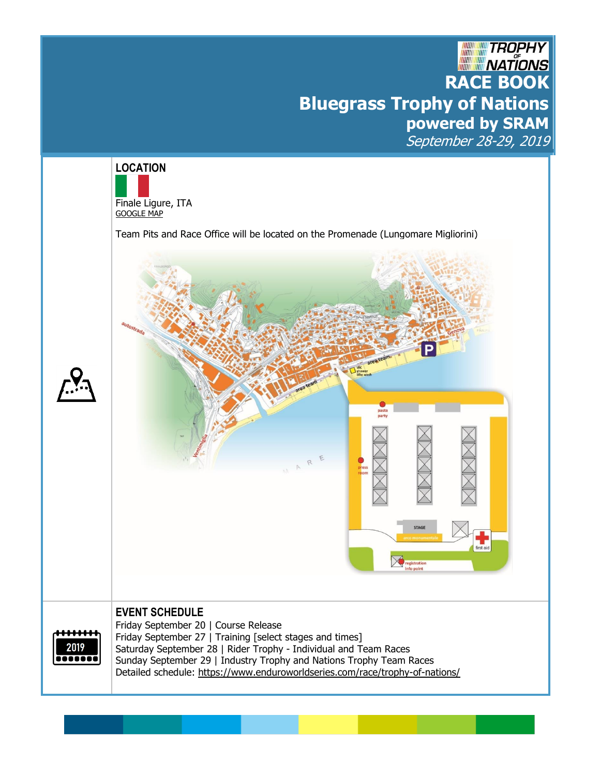# **RACE BOOK**<br>RACE BOOK **Bluegrass Trophy of Nations powered by SRAM** September 28-29, 2019

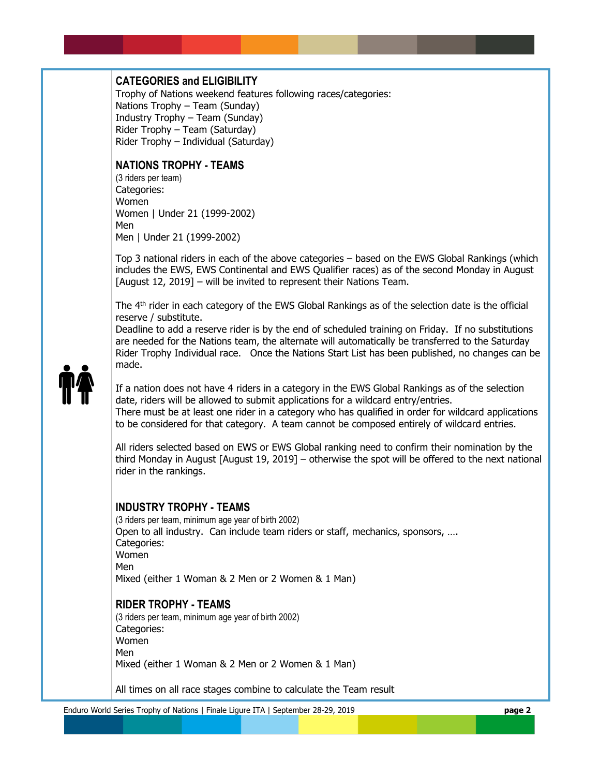# **CATEGORIES and ELIGIBILITY**

Trophy of Nations weekend features following races/categories: Nations Trophy – Team (Sunday) Industry Trophy – Team (Sunday) Rider Trophy – Team (Saturday) Rider Trophy – Individual (Saturday)

# **NATIONS TROPHY - TEAMS**

(3 riders per team) Categories: Women Women | Under 21 (1999-2002) Men Men | Under 21 (1999-2002)

Top 3 national riders in each of the above categories – based on the EWS Global Rankings (which includes the EWS, EWS Continental and EWS Qualifier races) as of the second Monday in August [August 12, 2019] – will be invited to represent their Nations Team.

The 4<sup>th</sup> rider in each category of the EWS Global Rankings as of the selection date is the official reserve / substitute.

Deadline to add a reserve rider is by the end of scheduled training on Friday. If no substitutions are needed for the Nations team, the alternate will automatically be transferred to the Saturday Rider Trophy Individual race. Once the Nations Start List has been published, no changes can be made.



If a nation does not have 4 riders in a category in the EWS Global Rankings as of the selection date, riders will be allowed to submit applications for a wildcard entry/entries. There must be at least one rider in a category who has qualified in order for wildcard applications to be considered for that category. A team cannot be composed entirely of wildcard entries.

All riders selected based on EWS or EWS Global ranking need to confirm their nomination by the third Monday in August [August 19, 2019] – otherwise the spot will be offered to the next national rider in the rankings.

#### **INDUSTRY TROPHY - TEAMS**

(3 riders per team, minimum age year of birth 2002) Open to all industry. Can include team riders or staff, mechanics, sponsors, …. Categories: Women Men Mixed (either 1 Woman & 2 Men or 2 Women & 1 Man)

# **RIDER TROPHY - TEAMS**

(3 riders per team, minimum age year of birth 2002) Categories: Women Men Mixed (either 1 Woman & 2 Men or 2 Women & 1 Man)

All times on all race stages combine to calculate the Team result

Enduro World Series Trophy of Nations | Finale Ligure ITA | September 28-29, 2019 **page 2**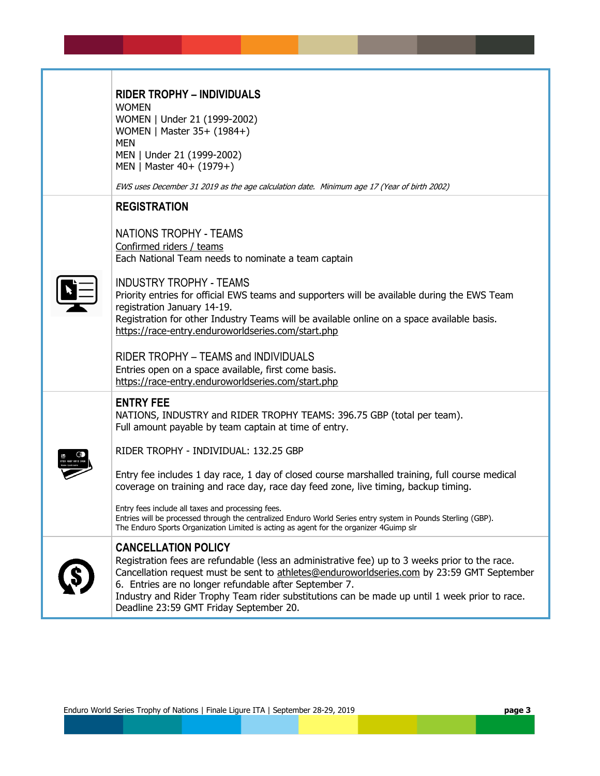| <b>RIDER TROPHY - INDIVIDUALS</b><br><b>WOMEN</b><br>WOMEN   Under 21 (1999-2002)<br>WOMEN   Master 35+ (1984+)<br><b>MEN</b><br>MEN   Under 21 (1999-2002)<br>MEN   Master 40+ (1979+)<br>EWS uses December 31 2019 as the age calculation date. Minimum age 17 (Year of birth 2002)                                                                                                                                            |
|----------------------------------------------------------------------------------------------------------------------------------------------------------------------------------------------------------------------------------------------------------------------------------------------------------------------------------------------------------------------------------------------------------------------------------|
| <b>REGISTRATION</b>                                                                                                                                                                                                                                                                                                                                                                                                              |
| NATIONS TROPHY - TEAMS<br>Confirmed riders / teams<br>Each National Team needs to nominate a team captain<br><b>INDUSTRY TROPHY - TEAMS</b><br>Priority entries for official EWS teams and supporters will be available during the EWS Team<br>registration January 14-19.<br>Registration for other Industry Teams will be available online on a space available basis.<br>https://race-entry.enduroworldseries.com/start.php   |
| RIDER TROPHY - TEAMS and INDIVIDUALS<br>Entries open on a space available, first come basis.<br>https://race-entry.enduroworldseries.com/start.php                                                                                                                                                                                                                                                                               |
| <b>ENTRY FEE</b><br>NATIONS, INDUSTRY and RIDER TROPHY TEAMS: 396.75 GBP (total per team).<br>Full amount payable by team captain at time of entry.<br>RIDER TROPHY - INDIVIDUAL: 132.25 GBP                                                                                                                                                                                                                                     |
| Entry fee includes 1 day race, 1 day of closed course marshalled training, full course medical<br>coverage on training and race day, race day feed zone, live timing, backup timing.                                                                                                                                                                                                                                             |
| Entry fees include all taxes and processing fees.<br>Entries will be processed through the centralized Enduro World Series entry system in Pounds Sterling (GBP).<br>The Enduro Sports Organization Limited is acting as agent for the organizer 4Guimp slr                                                                                                                                                                      |
| <b>CANCELLATION POLICY</b><br>Registration fees are refundable (less an administrative fee) up to 3 weeks prior to the race.<br>Cancellation request must be sent to athletes@enduroworldseries.com by 23:59 GMT September<br>6. Entries are no longer refundable after September 7.<br>Industry and Rider Trophy Team rider substitutions can be made up until 1 week prior to race.<br>Deadline 23:59 GMT Friday September 20. |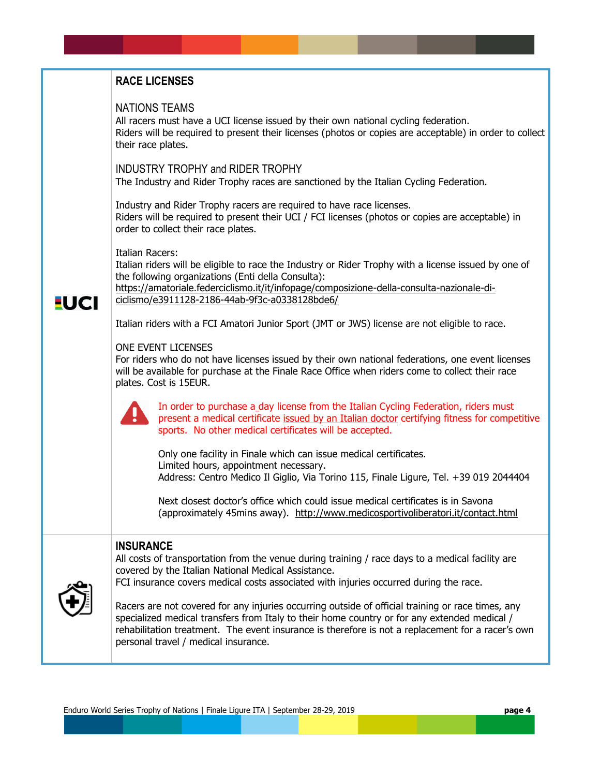# **RACE LICENSES** NATIONS TEAMS All racers must have a UCI license issued by their own national cycling federation. Riders will be required to present their licenses (photos or copies are acceptable) in order to collect their race plates. INDUSTRY TROPHY and RIDER TROPHY The Industry and Rider Trophy races are sanctioned by the Italian Cycling Federation. Industry and Rider Trophy racers are required to have race licenses. Riders will be required to present their UCI / FCI licenses (photos or copies are acceptable) in order to collect their race plates. Italian Racers: Italian riders will be eligible to race the Industry or Rider Trophy with a license issued by one of the following organizations (Enti della Consulta): [https://amatoriale.federciclismo.it/it/infopage/composizione-della-consulta-nazionale-di-](https://amatoriale.federciclismo.it/it/infopage/composizione-della-consulta-nazionale-di-ciclismo/e3911128-2186-44ab-9f3c-a0338128bde6/)**EUCI** [ciclismo/e3911128-2186-44ab-9f3c-a0338128bde6/](https://amatoriale.federciclismo.it/it/infopage/composizione-della-consulta-nazionale-di-ciclismo/e3911128-2186-44ab-9f3c-a0338128bde6/) Italian riders with a FCI Amatori Junior Sport (JMT or JWS) license are not eligible to race. ONE EVENT LICENSES For riders who do not have licenses issued by their own national federations, one event licenses will be available for purchase at the Finale Race Office when riders come to collect their race plates. Cost is 15EUR. In order to purchase a day license from the Italian Cycling Federation, riders must present a medical certificate issued by an Italian doctor certifying fitness for competitive sports. No other medical certificates will be accepted. Only one facility in Finale which can issue medical certificates. Limited hours, appointment necessary. Address: Centro Medico Il Giglio, Via Torino 115, Finale Ligure, Tel. +39 019 2044404 Next closest doctor's office which could issue medical certificates is in Savona (approximately 45mins away). <http://www.medicosportivoliberatori.it/contact.html> **INSURANCE** All costs of transportation from the venue during training / race days to a medical facility are covered by the Italian National Medical Assistance. FCI insurance covers medical costs associated with injuries occurred during the race. Racers are not covered for any injuries occurring outside of official training or race times, any specialized medical transfers from Italy to their home country or for any extended medical /

rehabilitation treatment. The event insurance is therefore is not a replacement for a racer's own

personal travel / medical insurance.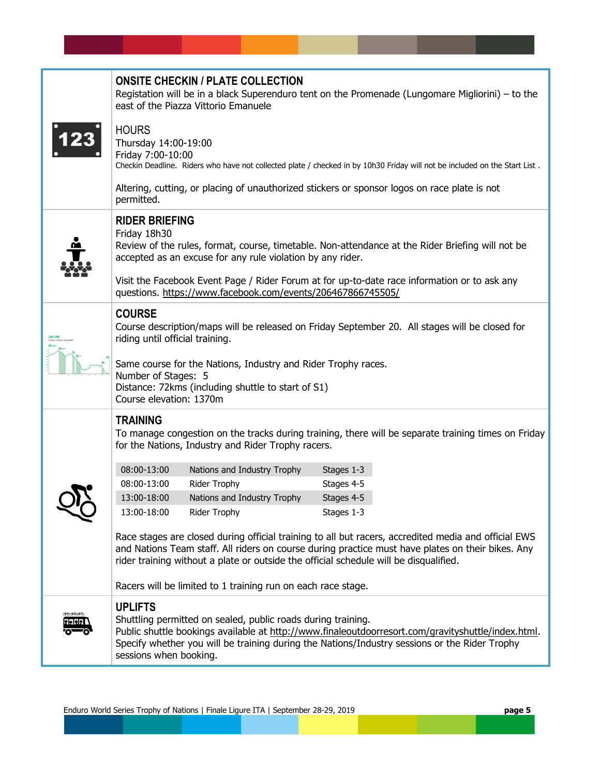|                              | <b>ONSITE CHECKIN / PLATE COLLECTION</b><br>Registation will be in a black Superenduro tent on the Promenade (Lungomare Migliorini) – to the<br>east of the Piazza Vittorio Emanuele                                                                                                               |                                                                                                                     |            |                                                                                                                                                                                                     |
|------------------------------|----------------------------------------------------------------------------------------------------------------------------------------------------------------------------------------------------------------------------------------------------------------------------------------------------|---------------------------------------------------------------------------------------------------------------------|------------|-----------------------------------------------------------------------------------------------------------------------------------------------------------------------------------------------------|
|                              | <b>HOURS</b><br>Thursday 14:00-19:00<br>Friday 7:00-10:00                                                                                                                                                                                                                                          | Altering, cutting, or placing of unauthorized stickers or sponsor logos on race plate is not                        |            | Checkin Deadline. Riders who have not collected plate / checked in by 10h30 Friday will not be included on the Start List.                                                                          |
|                              | permitted.                                                                                                                                                                                                                                                                                         |                                                                                                                     |            |                                                                                                                                                                                                     |
|                              | <b>RIDER BRIEFING</b><br>Friday 18h30                                                                                                                                                                                                                                                              | accepted as an excuse for any rule violation by any rider.                                                          |            | Review of the rules, format, course, timetable. Non-attendance at the Rider Briefing will not be<br>Visit the Facebook Event Page / Rider Forum at for up-to-date race information or to ask any    |
|                              |                                                                                                                                                                                                                                                                                                    | questions. https://www.facebook.com/events/206467866745505/                                                         |            |                                                                                                                                                                                                     |
|                              | <b>COURSE</b><br>Course description/maps will be released on Friday September 20. All stages will be closed for<br>riding until official training.                                                                                                                                                 |                                                                                                                     |            |                                                                                                                                                                                                     |
|                              | Number of Stages: 5<br>Course elevation: 1370m                                                                                                                                                                                                                                                     | Same course for the Nations, Industry and Rider Trophy races.<br>Distance: 72kms (including shuttle to start of S1) |            |                                                                                                                                                                                                     |
|                              | <b>TRAINING</b><br>To manage congestion on the tracks during training, there will be separate training times on Friday<br>for the Nations, Industry and Rider Trophy racers.                                                                                                                       |                                                                                                                     |            |                                                                                                                                                                                                     |
|                              | 08:00-13:00                                                                                                                                                                                                                                                                                        | Nations and Industry Trophy                                                                                         | Stages 1-3 |                                                                                                                                                                                                     |
|                              | 08:00-13:00                                                                                                                                                                                                                                                                                        | Rider Trophy                                                                                                        | Stages 4-5 |                                                                                                                                                                                                     |
|                              | 13:00-18:00                                                                                                                                                                                                                                                                                        | Nations and Industry Trophy                                                                                         | Stages 4-5 |                                                                                                                                                                                                     |
|                              | 13:00-18:00                                                                                                                                                                                                                                                                                        | Rider Trophy                                                                                                        | Stages 1-3 |                                                                                                                                                                                                     |
|                              | Race stages are closed during official training to all but racers, accredited media and official EWS<br>and Nations Team staff. All riders on course during practice must have plates on their bikes. Any<br>rider training without a plate or outside the official schedule will be disqualified. |                                                                                                                     |            |                                                                                                                                                                                                     |
|                              |                                                                                                                                                                                                                                                                                                    | Racers will be limited to 1 training run on each race stage.                                                        |            |                                                                                                                                                                                                     |
| <b>XOOXOOK</b><br>a del el s | <b>UPLIFTS</b><br>sessions when booking.                                                                                                                                                                                                                                                           | Shuttling permitted on sealed, public roads during training.                                                        |            | Public shuttle bookings available at http://www.finaleoutdoorresort.com/gravityshuttle/index.html.<br>Specify whether you will be training during the Nations/Industry sessions or the Rider Trophy |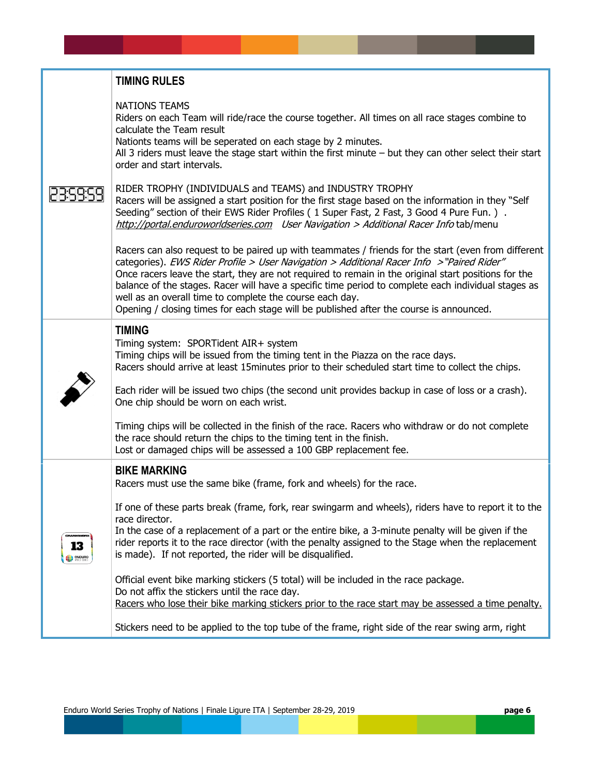|              | <b>TIMING RULES</b>                                                                                                                                                                                                                                                                                                                                                                                                                                                                                                                                                                                                                                                                                                                                                                                                           |
|--------------|-------------------------------------------------------------------------------------------------------------------------------------------------------------------------------------------------------------------------------------------------------------------------------------------------------------------------------------------------------------------------------------------------------------------------------------------------------------------------------------------------------------------------------------------------------------------------------------------------------------------------------------------------------------------------------------------------------------------------------------------------------------------------------------------------------------------------------|
|              | <b>NATIONS TEAMS</b><br>Riders on each Team will ride/race the course together. All times on all race stages combine to<br>calculate the Team result<br>Nationts teams will be seperated on each stage by 2 minutes.<br>All 3 riders must leave the stage start within the first minute - but they can other select their start<br>order and start intervals.                                                                                                                                                                                                                                                                                                                                                                                                                                                                 |
|              | RIDER TROPHY (INDIVIDUALS and TEAMS) and INDUSTRY TROPHY<br>Racers will be assigned a start position for the first stage based on the information in they "Self<br>Seeding" section of their EWS Rider Profiles (1 Super Fast, 2 Fast, 3 Good 4 Pure Fun.).<br>http://portal.enduroworldseries.com User Navigation > Additional Racer Info tab/menu                                                                                                                                                                                                                                                                                                                                                                                                                                                                           |
|              | Racers can also request to be paired up with teammates / friends for the start (even from different<br>categories). EWS Rider Profile > User Navigation > Additional Racer Info >"Paired Rider"<br>Once racers leave the start, they are not required to remain in the original start positions for the<br>balance of the stages. Racer will have a specific time period to complete each individual stages as<br>well as an overall time to complete the course each day.<br>Opening / closing times for each stage will be published after the course is announced.                                                                                                                                                                                                                                                         |
|              | <b>TIMING</b><br>Timing system: SPORTident AIR+ system<br>Timing chips will be issued from the timing tent in the Piazza on the race days.<br>Racers should arrive at least 15minutes prior to their scheduled start time to collect the chips.<br>Each rider will be issued two chips (the second unit provides backup in case of loss or a crash).<br>One chip should be worn on each wrist.<br>Timing chips will be collected in the finish of the race. Racers who withdraw or do not complete<br>the race should return the chips to the timing tent in the finish.                                                                                                                                                                                                                                                      |
|              | Lost or damaged chips will be assessed a 100 GBP replacement fee.<br><b>BIKE MARKING</b>                                                                                                                                                                                                                                                                                                                                                                                                                                                                                                                                                                                                                                                                                                                                      |
| 13<br>enpuno | Racers must use the same bike (frame, fork and wheels) for the race.<br>If one of these parts break (frame, fork, rear swingarm and wheels), riders have to report it to the<br>race director.<br>In the case of a replacement of a part or the entire bike, a 3-minute penalty will be given if the<br>rider reports it to the race director (with the penalty assigned to the Stage when the replacement<br>is made). If not reported, the rider will be disqualified.<br>Official event bike marking stickers (5 total) will be included in the race package.<br>Do not affix the stickers until the race day.<br>Racers who lose their bike marking stickers prior to the race start may be assessed a time penalty.<br>Stickers need to be applied to the top tube of the frame, right side of the rear swing arm, right |

ı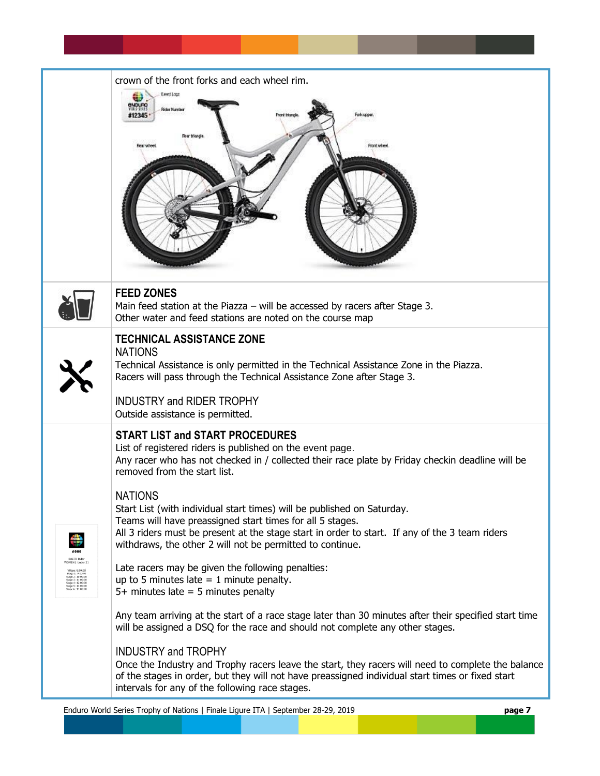|                                                                                                                                                      | crown of the front forks and each wheel rim.                                                                                                                                                                                                                                                                                                                                                                                                                                                                                                                     |
|------------------------------------------------------------------------------------------------------------------------------------------------------|------------------------------------------------------------------------------------------------------------------------------------------------------------------------------------------------------------------------------------------------------------------------------------------------------------------------------------------------------------------------------------------------------------------------------------------------------------------------------------------------------------------------------------------------------------------|
|                                                                                                                                                      | <b>Leritage</b><br><b>ENDURO</b><br><b>Grief Name</b><br>Front Island<br>Foti upper<br>11234<br>Front wheel                                                                                                                                                                                                                                                                                                                                                                                                                                                      |
|                                                                                                                                                      | <b>FEED ZONES</b><br>Main feed station at the Piazza - will be accessed by racers after Stage 3.<br>Other water and feed stations are noted on the course map                                                                                                                                                                                                                                                                                                                                                                                                    |
|                                                                                                                                                      | <b>TECHNICAL ASSISTANCE ZONE</b><br><b>NATIONS</b><br>Technical Assistance is only permitted in the Technical Assistance Zone in the Piazza.<br>Racers will pass through the Technical Assistance Zone after Stage 3.<br><b>INDUSTRY and RIDER TROPHY</b><br>Outside assistance is permitted.                                                                                                                                                                                                                                                                    |
|                                                                                                                                                      | <b>START LIST and START PROCEDURES</b><br>List of registered riders is published on the event page.<br>Any racer who has not checked in / collected their race plate by Friday checkin deadline will be<br>removed from the start list.<br><b>NATIONS</b><br>Start List (with individual start times) will be published on Saturday.<br>Teams will have preassigned start times for all 5 stages.<br>All 3 riders must be present at the stage start in order to start. If any of the 3 team riders<br>withdraws, the other 2 will not be permitted to continue. |
| <b>NOMEN   Under 21</b><br>Stage 1: 9:00:00<br>Stage 2: 10:00:00<br>Stage 3: 11:00:00<br>Stage 4: 12:00:00<br>Stage 5: 13:00:00<br>Stage 6: 14:00:00 | Late racers may be given the following penalties:<br>up to 5 minutes late $= 1$ minute penalty.<br>$5+$ minutes late = 5 minutes penalty<br>Any team arriving at the start of a race stage later than 30 minutes after their specified start time<br>will be assigned a DSQ for the race and should not complete any other stages.<br><b>INDUSTRY and TROPHY</b>                                                                                                                                                                                                 |
|                                                                                                                                                      | Once the Industry and Trophy racers leave the start, they racers will need to complete the balance<br>of the stages in order, but they will not have preassigned individual start times or fixed start<br>intervals for any of the following race stages.                                                                                                                                                                                                                                                                                                        |

Enduro World Series Trophy of Nations | Finale Ligure ITA | September 28-29, 2019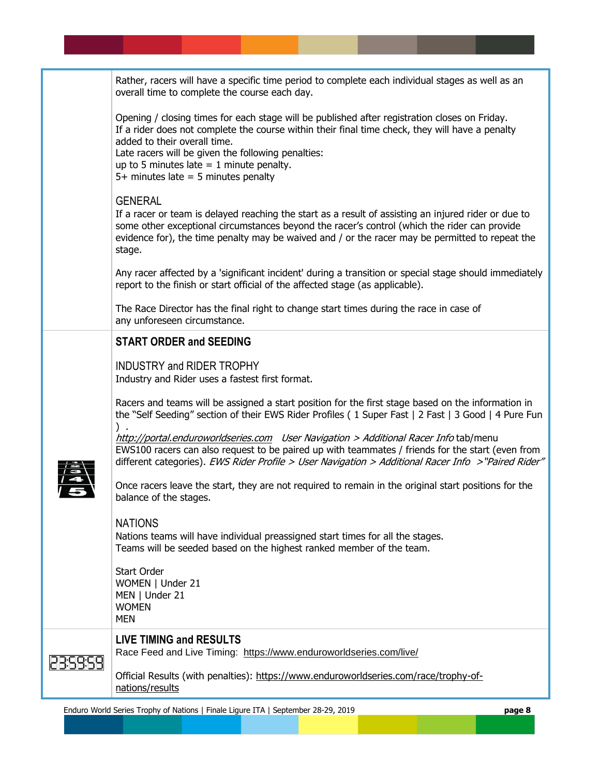|          | Rather, racers will have a specific time period to complete each individual stages as well as an<br>overall time to complete the course each day.                                                                                                                                                                                                                             |
|----------|-------------------------------------------------------------------------------------------------------------------------------------------------------------------------------------------------------------------------------------------------------------------------------------------------------------------------------------------------------------------------------|
|          | Opening / closing times for each stage will be published after registration closes on Friday.<br>If a rider does not complete the course within their final time check, they will have a penalty<br>added to their overall time.<br>Late racers will be given the following penalties:<br>up to 5 minutes late $= 1$ minute penalty.<br>$5+$ minutes late = 5 minutes penalty |
|          | <b>GENERAL</b><br>If a racer or team is delayed reaching the start as a result of assisting an injured rider or due to<br>some other exceptional circumstances beyond the racer's control (which the rider can provide<br>evidence for), the time penalty may be waived and / or the racer may be permitted to repeat the<br>stage.                                           |
|          | Any racer affected by a 'significant incident' during a transition or special stage should immediately<br>report to the finish or start official of the affected stage (as applicable).                                                                                                                                                                                       |
|          | The Race Director has the final right to change start times during the race in case of<br>any unforeseen circumstance.                                                                                                                                                                                                                                                        |
|          | <b>START ORDER and SEEDING</b>                                                                                                                                                                                                                                                                                                                                                |
|          | <b>INDUSTRY and RIDER TROPHY</b><br>Industry and Rider uses a fastest first format.                                                                                                                                                                                                                                                                                           |
|          | Racers and teams will be assigned a start position for the first stage based on the information in<br>the "Self Seeding" section of their EWS Rider Profiles (1 Super Fast   2 Fast   3 Good   4 Pure Fun                                                                                                                                                                     |
|          | http://portal.enduroworldseries.com User Navigation > Additional Racer Info tab/menu<br>EWS100 racers can also request to be paired up with teammates / friends for the start (even from<br>different categories). EWS Rider Profile > User Navigation > Additional Racer Info >"Paired Rider"                                                                                |
|          | Once racers leave the start, they are not required to remain in the original start positions for the<br>balance of the stages.                                                                                                                                                                                                                                                |
|          | <b>NATIONS</b><br>Nations teams will have individual preassigned start times for all the stages.<br>Teams will be seeded based on the highest ranked member of the team.                                                                                                                                                                                                      |
|          | <b>Start Order</b><br>WOMEN   Under 21<br>MEN   Under 21<br><b>WOMEN</b><br><b>MEN</b>                                                                                                                                                                                                                                                                                        |
| 23:59:59 | <b>LIVE TIMING and RESULTS</b><br>Race Feed and Live Timing: https://www.enduroworldseries.com/live/                                                                                                                                                                                                                                                                          |
|          | Official Results (with penalties): https://www.enduroworldseries.com/race/trophy-of-<br>nations/results                                                                                                                                                                                                                                                                       |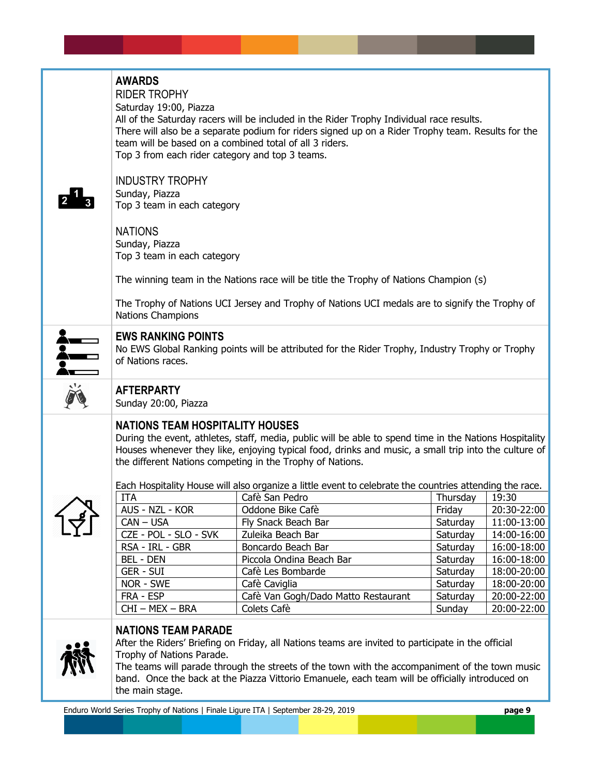| <b>AWARDS</b><br><b>RIDER TROPHY</b><br>Saturday 19:00, Piazza<br>All of the Saturday racers will be included in the Rider Trophy Individual race results.<br>There will also be a separate podium for riders signed up on a Rider Trophy team. Results for the<br>team will be based on a combined total of all 3 riders.<br>Top 3 from each rider category and top 3 teams.<br><b>INDUSTRY TROPHY</b><br>Sunday, Piazza<br>Top 3 team in each category<br><b>NATIONS</b><br>Sunday, Piazza<br>Top 3 team in each category<br>The winning team in the Nations race will be title the Trophy of Nations Champion (s)<br>The Trophy of Nations UCI Jersey and Trophy of Nations UCI medals are to signify the Trophy of<br><b>Nations Champions</b>                                                                                   |                                                                                                                            |                                                                                                                                     |
|--------------------------------------------------------------------------------------------------------------------------------------------------------------------------------------------------------------------------------------------------------------------------------------------------------------------------------------------------------------------------------------------------------------------------------------------------------------------------------------------------------------------------------------------------------------------------------------------------------------------------------------------------------------------------------------------------------------------------------------------------------------------------------------------------------------------------------------|----------------------------------------------------------------------------------------------------------------------------|-------------------------------------------------------------------------------------------------------------------------------------|
| <b>EWS RANKING POINTS</b><br>No EWS Global Ranking points will be attributed for the Rider Trophy, Industry Trophy or Trophy<br>of Nations races.                                                                                                                                                                                                                                                                                                                                                                                                                                                                                                                                                                                                                                                                                    |                                                                                                                            |                                                                                                                                     |
| <b>AFTERPARTY</b><br>Sunday 20:00, Piazza                                                                                                                                                                                                                                                                                                                                                                                                                                                                                                                                                                                                                                                                                                                                                                                            |                                                                                                                            |                                                                                                                                     |
| <b>NATIONS TEAM HOSPITALITY HOUSES</b><br>During the event, athletes, staff, media, public will be able to spend time in the Nations Hospitality<br>Houses whenever they like, enjoying typical food, drinks and music, a small trip into the culture of<br>the different Nations competing in the Trophy of Nations.<br>Each Hospitality House will also organize a little event to celebrate the countries attending the race.<br>ITA<br>Cafè San Pedro<br>AUS - NZL - KOR<br>Oddone Bike Cafè<br>CAN – USA<br>Fly Snack Beach Bar<br>CZE - POL - SLO - SVK<br>Zuleika Beach Bar<br>RSA - IRL - GBR<br>Boncardo Beach Bar<br><b>BEL - DEN</b><br>Piccola Ondina Beach Bar<br><b>GER - SUI</b><br>Cafè Les Bombarde<br>NOR - SWE<br>Cafè Caviglia<br>FRA - ESP<br>Cafè Van Gogh/Dado Matto Restaurant<br>CHI-MEX-BRA<br>Colets Cafè | Thursday   $19:30$<br>Friday<br>Saturday<br>Saturday<br>Saturday<br>Saturday<br>Saturday<br>Saturday<br>Saturday<br>Sunday | 20:30-22:00<br>11:00-13:00<br>14:00-16:00<br>16:00-18:00<br>16:00-18:00<br>18:00-20:00<br>18:00-20:00<br>20:00-22:00<br>20:00-22:00 |
| <b>NATIONS TEAM PARADE</b><br>After the Riders' Briefing on Friday, all Nations teams are invited to participate in the official<br>Trophy of Nations Parade.<br>The teams will parade through the streets of the town with the accompaniment of the town music<br>band. Once the back at the Piazza Vittorio Emanuele, each team will be officially introduced on<br>the main stage.                                                                                                                                                                                                                                                                                                                                                                                                                                                |                                                                                                                            |                                                                                                                                     |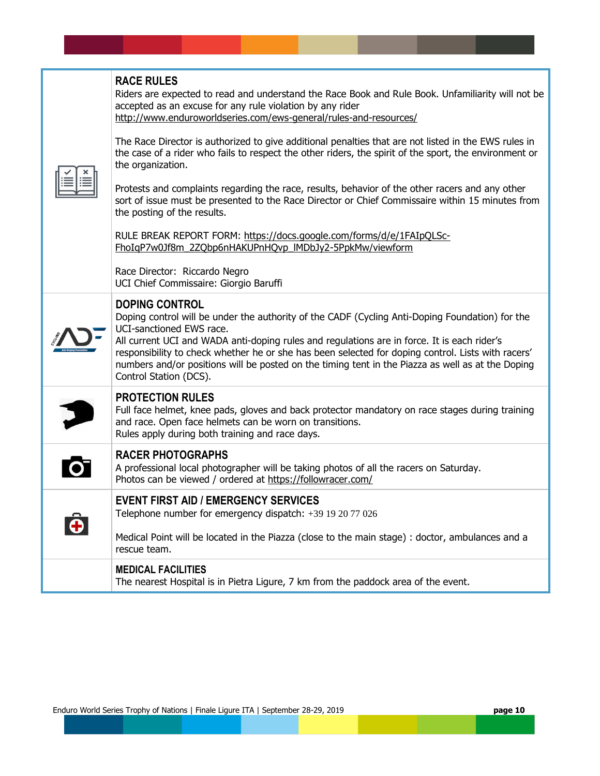|  | <b>RACE RULES</b><br>Riders are expected to read and understand the Race Book and Rule Book. Unfamiliarity will not be<br>accepted as an excuse for any rule violation by any rider<br>http://www.enduroworldseries.com/ews-general/rules-and-resources/<br>The Race Director is authorized to give additional penalties that are not listed in the EWS rules in<br>the case of a rider who fails to respect the other riders, the spirit of the sport, the environment or<br>the organization.<br>Protests and complaints regarding the race, results, behavior of the other racers and any other<br>sort of issue must be presented to the Race Director or Chief Commissaire within 15 minutes from<br>the posting of the results. |
|--|---------------------------------------------------------------------------------------------------------------------------------------------------------------------------------------------------------------------------------------------------------------------------------------------------------------------------------------------------------------------------------------------------------------------------------------------------------------------------------------------------------------------------------------------------------------------------------------------------------------------------------------------------------------------------------------------------------------------------------------|
|  | RULE BREAK REPORT FORM: https://docs.google.com/forms/d/e/1FAIpQLSc-<br>FhoIgP7w0Jf8m 2ZQbp6nHAKUPnHQvp IMDbJy2-5PpkMw/viewform                                                                                                                                                                                                                                                                                                                                                                                                                                                                                                                                                                                                       |
|  | Race Director: Riccardo Negro<br>UCI Chief Commissaire: Giorgio Baruffi                                                                                                                                                                                                                                                                                                                                                                                                                                                                                                                                                                                                                                                               |
|  | <b>DOPING CONTROL</b><br>Doping control will be under the authority of the CADF (Cycling Anti-Doping Foundation) for the<br>UCI-sanctioned EWS race.<br>All current UCI and WADA anti-doping rules and regulations are in force. It is each rider's<br>responsibility to check whether he or she has been selected for doping control. Lists with racers'<br>numbers and/or positions will be posted on the timing tent in the Piazza as well as at the Doping<br>Control Station (DCS).                                                                                                                                                                                                                                              |
|  | <b>PROTECTION RULES</b><br>Full face helmet, knee pads, gloves and back protector mandatory on race stages during training<br>and race. Open face helmets can be worn on transitions.<br>Rules apply during both training and race days.                                                                                                                                                                                                                                                                                                                                                                                                                                                                                              |
|  | <b>RACER PHOTOGRAPHS</b><br>A professional local photographer will be taking photos of all the racers on Saturday.<br>Photos can be viewed / ordered at https://followracer.com/                                                                                                                                                                                                                                                                                                                                                                                                                                                                                                                                                      |
|  | <b>EVENT FIRST AID / EMERGENCY SERVICES</b><br>Telephone number for emergency dispatch: +39 19 20 77 026                                                                                                                                                                                                                                                                                                                                                                                                                                                                                                                                                                                                                              |
|  | Medical Point will be located in the Piazza (close to the main stage) : doctor, ambulances and a<br>rescue team.                                                                                                                                                                                                                                                                                                                                                                                                                                                                                                                                                                                                                      |
|  | <b>MEDICAL FACILITIES</b><br>The nearest Hospital is in Pietra Ligure, 7 km from the paddock area of the event.                                                                                                                                                                                                                                                                                                                                                                                                                                                                                                                                                                                                                       |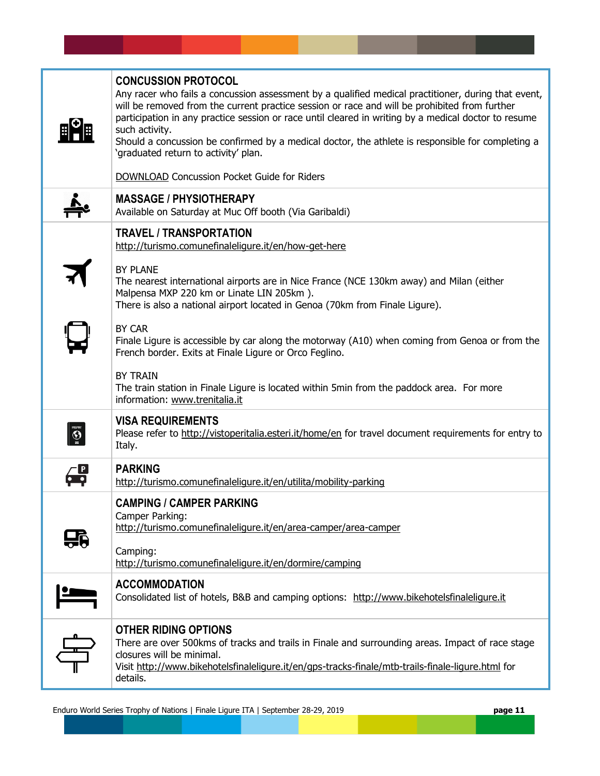|               | <b>CONCUSSION PROTOCOL</b><br>Any racer who fails a concussion assessment by a qualified medical practitioner, during that event,<br>will be removed from the current practice session or race and will be prohibited from further<br>participation in any practice session or race until cleared in writing by a medical doctor to resume<br>such activity.<br>Should a concussion be confirmed by a medical doctor, the athlete is responsible for completing a<br>'graduated return to activity' plan.<br><b>DOWNLOAD</b> Concussion Pocket Guide for Riders                                                                                            |
|---------------|------------------------------------------------------------------------------------------------------------------------------------------------------------------------------------------------------------------------------------------------------------------------------------------------------------------------------------------------------------------------------------------------------------------------------------------------------------------------------------------------------------------------------------------------------------------------------------------------------------------------------------------------------------|
|               | <b>MASSAGE / PHYSIOTHERAPY</b><br>Available on Saturday at Muc Off booth (Via Garibaldi)                                                                                                                                                                                                                                                                                                                                                                                                                                                                                                                                                                   |
|               | <b>TRAVEL / TRANSPORTATION</b><br>http://turismo.comunefinaleligure.it/en/how-get-here<br><b>BY PLANE</b><br>The nearest international airports are in Nice France (NCE 130km away) and Milan (either<br>Malpensa MXP 220 km or Linate LIN 205km).<br>There is also a national airport located in Genoa (70km from Finale Ligure).<br>BY CAR<br>Finale Ligure is accessible by car along the motorway (A10) when coming from Genoa or from the<br>French border. Exits at Finale Ligure or Orco Feglino.<br><b>BY TRAIN</b><br>The train station in Finale Ligure is located within 5min from the paddock area. For more<br>information: www.trenitalia.it |
| <b>BUSINE</b> | <b>VISA REQUIREMENTS</b><br>Please refer to http://vistoperitalia.esteri.it/home/en for travel document requirements for entry to<br>Italy.                                                                                                                                                                                                                                                                                                                                                                                                                                                                                                                |
|               | <b>PARKING</b><br>http://turismo.comunefinaleliqure.it/en/utilita/mobility-parking                                                                                                                                                                                                                                                                                                                                                                                                                                                                                                                                                                         |
| 56            | <b>CAMPING / CAMPER PARKING</b><br>Camper Parking:<br>http://turismo.comunefinaleliqure.it/en/area-camper/area-camper<br>Camping:<br>http://turismo.comunefinaleligure.it/en/dormire/camping                                                                                                                                                                                                                                                                                                                                                                                                                                                               |
|               | <b>ACCOMMODATION</b><br>Consolidated list of hotels, B&B and camping options: http://www.bikehotelsfinaleliqure.it                                                                                                                                                                                                                                                                                                                                                                                                                                                                                                                                         |
|               | <b>OTHER RIDING OPTIONS</b><br>There are over 500kms of tracks and trails in Finale and surrounding areas. Impact of race stage<br>closures will be minimal.<br>Visit http://www.bikehotelsfinaleliqure.it/en/qps-tracks-finale/mtb-trails-finale-liqure.html for<br>details.                                                                                                                                                                                                                                                                                                                                                                              |